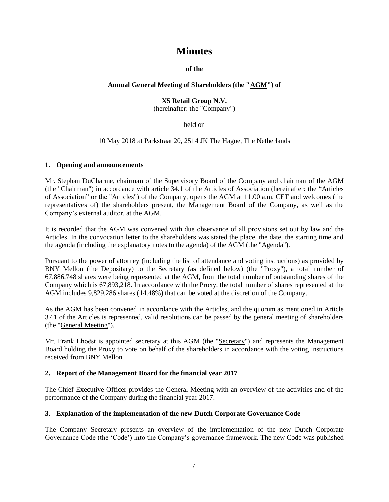# **Minutes**

**of the**

## **Annual General Meeting of Shareholders (the "AGM") of**

## **X5 Retail Group N.V.** (hereinafter: the "Company")

held on

10 May 2018 at Parkstraat 20, 2514 JK The Hague, The Netherlands

#### **1. Opening and announcements**

Mr. Stephan DuCharme, chairman of the Supervisory Board of the Company and chairman of the AGM (the "Chairman") in accordance with article 34.1 of the Articles of Association (hereinafter: the "Articles of Association" or the "Articles") of the Company, opens the AGM at 11.00 a.m. CET and welcomes (the representatives of) the shareholders present, the Management Board of the Company, as well as the Company's external auditor, at the AGM.

It is recorded that the AGM was convened with due observance of all provisions set out by law and the Articles. In the convocation letter to the shareholders was stated the place, the date, the starting time and the agenda (including the explanatory notes to the agenda) of the AGM (the "Agenda").

Pursuant to the power of attorney (including the list of attendance and voting instructions) as provided by BNY Mellon (the Depositary) to the Secretary (as defined below) (the "Proxy"), a total number of 67,886,748 shares were being represented at the AGM, from the total number of outstanding shares of the Company which is 67,893,218. In accordance with the Proxy, the total number of shares represented at the AGM includes 9,829,286 shares (14.48%) that can be voted at the discretion of the Company.

As the AGM has been convened in accordance with the Articles, and the quorum as mentioned in Article 37.1 of the Articles is represented, valid resolutions can be passed by the general meeting of shareholders (the "General Meeting").

Mr. Frank Lhoëst is appointed secretary at this AGM (the "Secretary") and represents the Management Board holding the Proxy to vote on behalf of the shareholders in accordance with the voting instructions received from BNY Mellon.

#### **2. Report of the Management Board for the financial year 2017**

The Chief Executive Officer provides the General Meeting with an overview of the activities and of the performance of the Company during the financial year 2017.

#### **3. Explanation of the implementation of the new Dutch Corporate Governance Code**

The Company Secretary presents an overview of the implementation of the new Dutch Corporate Governance Code (the 'Code') into the Company's governance framework. The new Code was published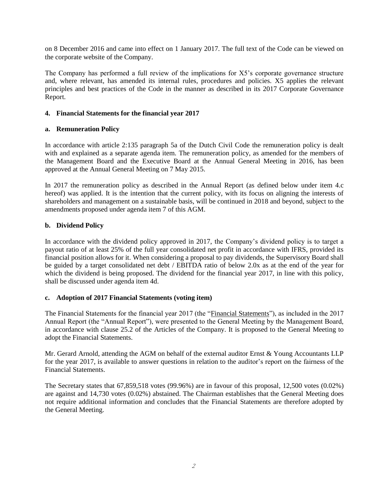on 8 December 2016 and came into effect on 1 January 2017. The full text of the Code can be viewed on the corporate website of the Company.

The Company has performed a full review of the implications for X5's corporate governance structure and, where relevant, has amended its internal rules, procedures and policies. X5 applies the relevant principles and best practices of the Code in the manner as described in its 2017 Corporate Governance Report.

#### **4. Financial Statements for the financial year 2017**

#### **a. Remuneration Policy**

In accordance with article 2:135 paragraph 5a of the Dutch Civil Code the remuneration policy is dealt with and explained as a separate agenda item. The remuneration policy, as amended for the members of the Management Board and the Executive Board at the Annual General Meeting in 2016, has been approved at the Annual General Meeting on 7 May 2015.

In 2017 the remuneration policy as described in the Annual Report (as defined below under item 4.c hereof) was applied. It is the intention that the current policy, with its focus on aligning the interests of shareholders and management on a sustainable basis, will be continued in 2018 and beyond, subject to the amendments proposed under agenda item 7 of this AGM.

## **b. Dividend Policy**

In accordance with the dividend policy approved in 2017, the Company's dividend policy is to target a payout ratio of at least 25% of the full year consolidated net profit in accordance with IFRS, provided its financial position allows for it. When considering a proposal to pay dividends, the Supervisory Board shall be guided by a target consolidated net debt / EBITDA ratio of below 2.0x as at the end of the year for which the dividend is being proposed. The dividend for the financial year 2017, in line with this policy, shall be discussed under agenda item 4d.

#### **c. Adoption of 2017 Financial Statements (voting item)**

The Financial Statements for the financial year 2017 (the "Financial Statements"), as included in the 2017 Annual Report (the "Annual Report"), were presented to the General Meeting by the Management Board, in accordance with clause 25.2 of the Articles of the Company. It is proposed to the General Meeting to adopt the Financial Statements.

Mr. Gerard Arnold, attending the AGM on behalf of the external auditor Ernst & Young Accountants LLP for the year 2017, is available to answer questions in relation to the auditor's report on the fairness of the Financial Statements.

The Secretary states that 67,859,518 votes (99.96%) are in favour of this proposal, 12,500 votes (0.02%) are against and 14,730 votes (0.02%) abstained. The Chairman establishes that the General Meeting does not require additional information and concludes that the Financial Statements are therefore adopted by the General Meeting.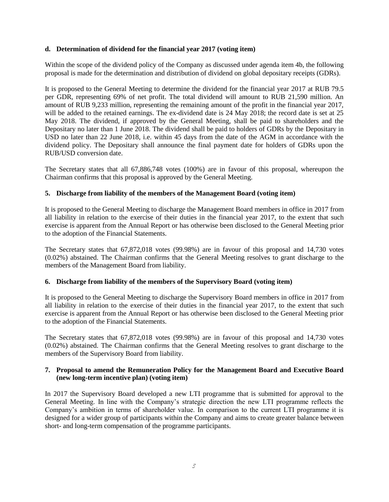#### **d. Determination of dividend for the financial year 2017 (voting item)**

Within the scope of the dividend policy of the Company as discussed under agenda item 4b, the following proposal is made for the determination and distribution of dividend on global depositary receipts (GDRs).

It is proposed to the General Meeting to determine the dividend for the financial year 2017 at RUB 79.5 per GDR, representing 69% of net profit. The total dividend will amount to RUB 21,590 million. An amount of RUB 9,233 million, representing the remaining amount of the profit in the financial year 2017, will be added to the retained earnings. The ex-dividend date is 24 May 2018; the record date is set at 25 May 2018. The dividend, if approved by the General Meeting, shall be paid to shareholders and the Depositary no later than 1 June 2018. The dividend shall be paid to holders of GDRs by the Depositary in USD no later than 22 June 2018, i.e. within 45 days from the date of the AGM in accordance with the dividend policy. The Depositary shall announce the final payment date for holders of GDRs upon the RUB/USD conversion date.

The Secretary states that all 67,886,748 votes (100%) are in favour of this proposal, whereupon the Chairman confirms that this proposal is approved by the General Meeting.

## **5. Discharge from liability of the members of the Management Board (voting item)**

It is proposed to the General Meeting to discharge the Management Board members in office in 2017 from all liability in relation to the exercise of their duties in the financial year 2017, to the extent that such exercise is apparent from the Annual Report or has otherwise been disclosed to the General Meeting prior to the adoption of the Financial Statements.

The Secretary states that 67,872,018 votes (99.98%) are in favour of this proposal and 14,730 votes (0.02%) abstained. The Chairman confirms that the General Meeting resolves to grant discharge to the members of the Management Board from liability.

#### **6. Discharge from liability of the members of the Supervisory Board (voting item)**

It is proposed to the General Meeting to discharge the Supervisory Board members in office in 2017 from all liability in relation to the exercise of their duties in the financial year 2017, to the extent that such exercise is apparent from the Annual Report or has otherwise been disclosed to the General Meeting prior to the adoption of the Financial Statements.

The Secretary states that 67,872,018 votes (99.98%) are in favour of this proposal and 14,730 votes (0.02%) abstained. The Chairman confirms that the General Meeting resolves to grant discharge to the members of the Supervisory Board from liability.

#### **7. Proposal to amend the Remuneration Policy for the Management Board and Executive Board (new long-term incentive plan) (voting item)**

In 2017 the Supervisory Board developed a new LTI programme that is submitted for approval to the General Meeting. In line with the Company's strategic direction the new LTI programme reflects the Company's ambition in terms of shareholder value. In comparison to the current LTI programme it is designed for a wider group of participants within the Company and aims to create greater balance between short- and long-term compensation of the programme participants.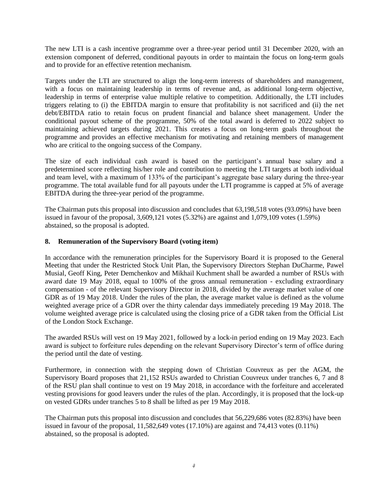The new LTI is a cash incentive programme over a three-year period until 31 December 2020, with an extension component of deferred, conditional payouts in order to maintain the focus on long-term goals and to provide for an effective retention mechanism.

Targets under the LTI are structured to align the long-term interests of shareholders and management, with a focus on maintaining leadership in terms of revenue and, as additional long-term objective, leadership in terms of enterprise value multiple relative to competition. Additionally, the LTI includes triggers relating to (i) the EBITDA margin to ensure that profitability is not sacrificed and (ii) the net debt/EBITDA ratio to retain focus on prudent financial and balance sheet management. Under the conditional payout scheme of the programme, 50% of the total award is deferred to 2022 subject to maintaining achieved targets during 2021. This creates a focus on long-term goals throughout the programme and provides an effective mechanism for motivating and retaining members of management who are critical to the ongoing success of the Company.

The size of each individual cash award is based on the participant's annual base salary and a predetermined score reflecting his/her role and contribution to meeting the LTI targets at both individual and team level, with a maximum of 133% of the participant's aggregate base salary during the three-year programme. The total available fund for all payouts under the LTI programme is capped at 5% of average EBITDA during the three-year period of the programme.

The Chairman puts this proposal into discussion and concludes that 63,198,518 votes (93.09%) have been issued in favour of the proposal, 3,609,121 votes (5.32%) are against and 1,079,109 votes (1.59%) abstained, so the proposal is adopted.

## **8. Remuneration of the Supervisory Board (voting item)**

In accordance with the remuneration principles for the Supervisory Board it is proposed to the General Meeting that under the Restricted Stock Unit Plan, the Supervisory Directors Stephan DuCharme, Pawel Musial, Geoff King, Peter Demchenkov and Mikhail Kuchment shall be awarded a number of RSUs with award date 19 May 2018, equal to 100% of the gross annual remuneration - excluding extraordinary compensation - of the relevant Supervisory Director in 2018, divided by the average market value of one GDR as of 19 May 2018. Under the rules of the plan, the average market value is defined as the volume weighted average price of a GDR over the thirty calendar days immediately preceding 19 May 2018. The volume weighted average price is calculated using the closing price of a GDR taken from the Official List of the London Stock Exchange.

The awarded RSUs will vest on 19 May 2021, followed by a lock-in period ending on 19 May 2023. Each award is subject to forfeiture rules depending on the relevant Supervisory Director's term of office during the period until the date of vesting.

Furthermore, in connection with the stepping down of Christian Couvreux as per the AGM, the Supervisory Board proposes that 21,152 RSUs awarded to Christian Couvreux under tranches 6, 7 and 8 of the RSU plan shall continue to vest on 19 May 2018, in accordance with the forfeiture and accelerated vesting provisions for good leavers under the rules of the plan. Accordingly, it is proposed that the lock-up on vested GDRs under tranches 5 to 8 shall be lifted as per 19 May 2018.

The Chairman puts this proposal into discussion and concludes that 56,229,686 votes (82.83%) have been issued in favour of the proposal, 11,582,649 votes (17.10%) are against and 74,413 votes (0.11%) abstained, so the proposal is adopted.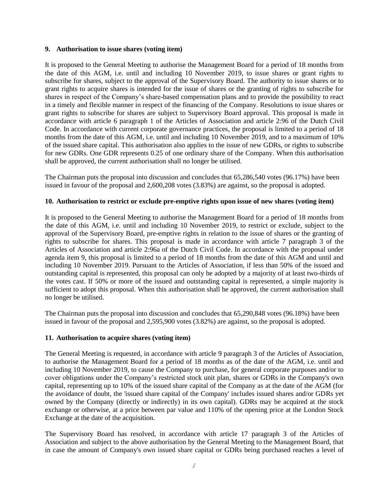#### **9. Authorisation to issue shares (voting item)**

It is proposed to the General Meeting to authorise the Management Board for a period of 18 months from the date of this AGM, i.e. until and including 10 November 2019, to issue shares or grant rights to subscribe for shares, subject to the approval of the Supervisory Board. The authority to issue shares or to grant rights to acquire shares is intended for the issue of shares or the granting of rights to subscribe for shares in respect of the Company's share-based compensation plans and to provide the possibility to react in a timely and flexible manner in respect of the financing of the Company. Resolutions to issue shares or grant rights to subscribe for shares are subject to Supervisory Board approval. This proposal is made in accordance with article 6 paragraph 1 of the Articles of Association and article 2:96 of the Dutch Civil Code. In accordance with current corporate governance practices, the proposal is limited to a period of 18 months from the date of this AGM, i.e. until and including 10 November 2019, and to a maximum of 10% of the issued share capital. This authorisation also applies to the issue of new GDRs, or rights to subscribe for new GDRs. One GDR represents 0.25 of one ordinary share of the Company. When this authorisation shall be approved, the current authorisation shall no longer be utilised.

The Chairman puts the proposal into discussion and concludes that 65,286,540 votes (96.17%) have been issued in favour of the proposal and 2,600,208 votes (3.83%) are against, so the proposal is adopted.

#### **10. Authorisation to restrict or exclude pre-emptive rights upon issue of new shares (voting item)**

It is proposed to the General Meeting to authorise the Management Board for a period of 18 months from the date of this AGM, i.e. until and including 10 November 2019, to restrict or exclude, subject to the approval of the Supervisory Board, pre-emptive rights in relation to the issue of shares or the granting of rights to subscribe for shares. This proposal is made in accordance with article 7 paragraph 3 of the Articles of Association and article 2:96a of the Dutch Civil Code. In accordance with the proposal under agenda item 9, this proposal is limited to a period of 18 months from the date of this AGM and until and including 10 November 2019. Pursuant to the Articles of Association, if less than 50% of the issued and outstanding capital is represented, this proposal can only be adopted by a majority of at least two-thirds of the votes cast. If 50% or more of the issued and outstanding capital is represented, a simple majority is sufficient to adopt this proposal. When this authorisation shall be approved, the current authorisation shall no longer be utilised.

The Chairman puts the proposal into discussion and concludes that 65,290,848 votes (96.18%) have been issued in favour of the proposal and 2,595,900 votes (3.82%) are against, so the proposal is adopted.

#### **11. Authorisation to acquire shares (voting item)**

The General Meeting is requested, in accordance with article 9 paragraph 3 of the Articles of Association, to authorise the Management Board for a period of 18 months as of the date of the AGM, i.e. until and including 10 November 2019, to cause the Company to purchase, for general corporate purposes and/or to cover obligations under the Company's restricted stock unit plan, shares or GDRs in the Company's own capital, representing up to 10% of the issued share capital of the Company as at the date of the AGM (for the avoidance of doubt, the 'issued share capital of the Company' includes issued shares and/or GDRs yet owned by the Company (directly or indirectly) in its own capital). GDRs may be acquired at the stock exchange or otherwise, at a price between par value and 110% of the opening price at the London Stock Exchange at the date of the acquisition.

The Supervisory Board has resolved, in accordance with article 17 paragraph 3 of the Articles of Association and subject to the above authorisation by the General Meeting to the Management Board, that in case the amount of Company's own issued share capital or GDRs being purchased reaches a level of